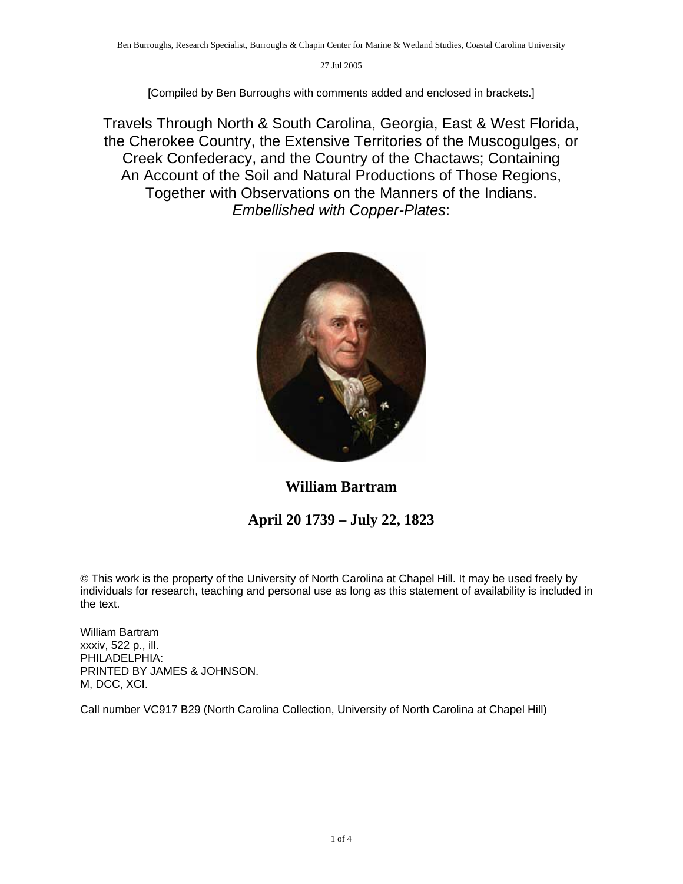[Compiled by Ben Burroughs with comments added and enclosed in brackets.]

Travels Through North & South Carolina, Georgia, East & West Florida, the Cherokee Country, the Extensive Territories of the Muscogulges, or Creek Confederacy, and the Country of the Chactaws; Containing An Account of the Soil and Natural Productions of Those Regions, Together with Observations on the Manners of the Indians. *Embellished with Copper-Plates*:



**William Bartram** 

## **April 20 1739 – July 22, 1823**

© This work is the property of the University of North Carolina at Chapel Hill. It may be used freely by individuals for research, teaching and personal use as long as this statement of availability is included in the text.

William Bartram xxxiv, 522 p., ill. PHILADELPHIA: PRINTED BY JAMES & JOHNSON. M, DCC, XCI.

Call number VC917 B29 (North Carolina Collection, University of North Carolina at Chapel Hill)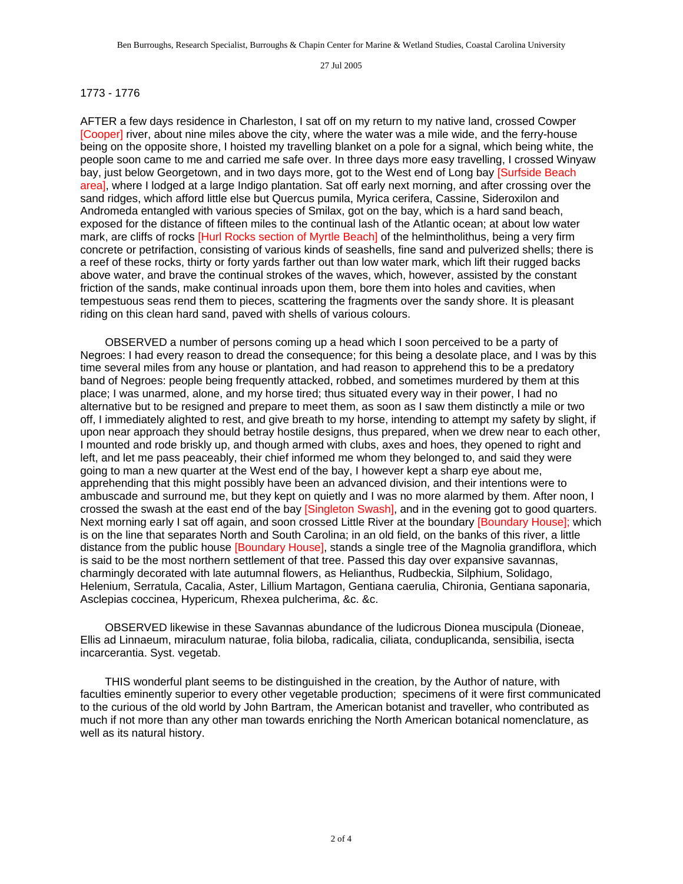## 1773 - 1776

AFTER a few days residence in Charleston, I sat off on my return to my native land, crossed Cowper [Cooper] river, about nine miles above the city, where the water was a mile wide, and the ferry-house being on the opposite shore, I hoisted my travelling blanket on a pole for a signal, which being white, the people soon came to me and carried me safe over. In three days more easy travelling, I crossed Winyaw bay, just below Georgetown, and in two days more, got to the West end of Long bay [Surfside Beach area], where I lodged at a large Indigo plantation. Sat off early next morning, and after crossing over the sand ridges, which afford little else but Quercus pumila, Myrica cerifera, Cassine, Sideroxilon and Andromeda entangled with various species of Smilax, got on the bay, which is a hard sand beach, exposed for the distance of fifteen miles to the continual lash of the Atlantic ocean; at about low water mark, are cliffs of rocks [Hurl Rocks section of Myrtle Beach] of the helmintholithus, being a very firm concrete or petrifaction, consisting of various kinds of seashells, fine sand and pulverized shells; there is a reef of these rocks, thirty or forty yards farther out than low water mark, which lift their rugged backs above water, and brave the continual strokes of the waves, which, however, assisted by the constant friction of the sands, make continual inroads upon them, bore them into holes and cavities, when tempestuous seas rend them to pieces, scattering the fragments over the sandy shore. It is pleasant riding on this clean hard sand, paved with shells of various colours.

 OBSERVED a number of persons coming up a head which I soon perceived to be a party of Negroes: I had every reason to dread the consequence; for this being a desolate place, and I was by this time several miles from any house or plantation, and had reason to apprehend this to be a predatory band of Negroes: people being frequently attacked, robbed, and sometimes murdered by them at this place; I was unarmed, alone, and my horse tired; thus situated every way in their power, I had no alternative but to be resigned and prepare to meet them, as soon as I saw them distinctly a mile or two off, I immediately alighted to rest, and give breath to my horse, intending to attempt my safety by slight, if upon near approach they should betray hostile designs, thus prepared, when we drew near to each other, I mounted and rode briskly up, and though armed with clubs, axes and hoes, they opened to right and left, and let me pass peaceably, their chief informed me whom they belonged to, and said they were going to man a new quarter at the West end of the bay, I however kept a sharp eye about me, apprehending that this might possibly have been an advanced division, and their intentions were to ambuscade and surround me, but they kept on quietly and I was no more alarmed by them. After noon, I crossed the swash at the east end of the bay [Singleton Swash], and in the evening got to good quarters. Next morning early I sat off again, and soon crossed Little River at the boundary [Boundary House]; which is on the line that separates North and South Carolina; in an old field, on the banks of this river, a little distance from the public house [Boundary House], stands a single tree of the Magnolia grandiflora, which is said to be the most northern settlement of that tree. Passed this day over expansive savannas, charmingly decorated with late autumnal flowers, as Helianthus, Rudbeckia, Silphium, Solidago, Helenium, Serratula, Cacalia, Aster, Lillium Martagon, Gentiana caerulia, Chironia, Gentiana saponaria, Asclepias coccinea, Hypericum, Rhexea pulcherima, &c. &c.

 OBSERVED likewise in these Savannas abundance of the ludicrous Dionea muscipula (Dioneae, Ellis ad Linnaeum, miraculum naturae, folia biloba, radicalia, ciliata, conduplicanda, sensibilia, isecta incarcerantia. Syst. vegetab.

 THIS wonderful plant seems to be distinguished in the creation, by the Author of nature, with faculties eminently superior to every other vegetable production; specimens of it were first communicated to the curious of the old world by John Bartram, the American botanist and traveller, who contributed as much if not more than any other man towards enriching the North American botanical nomenclature, as well as its natural history.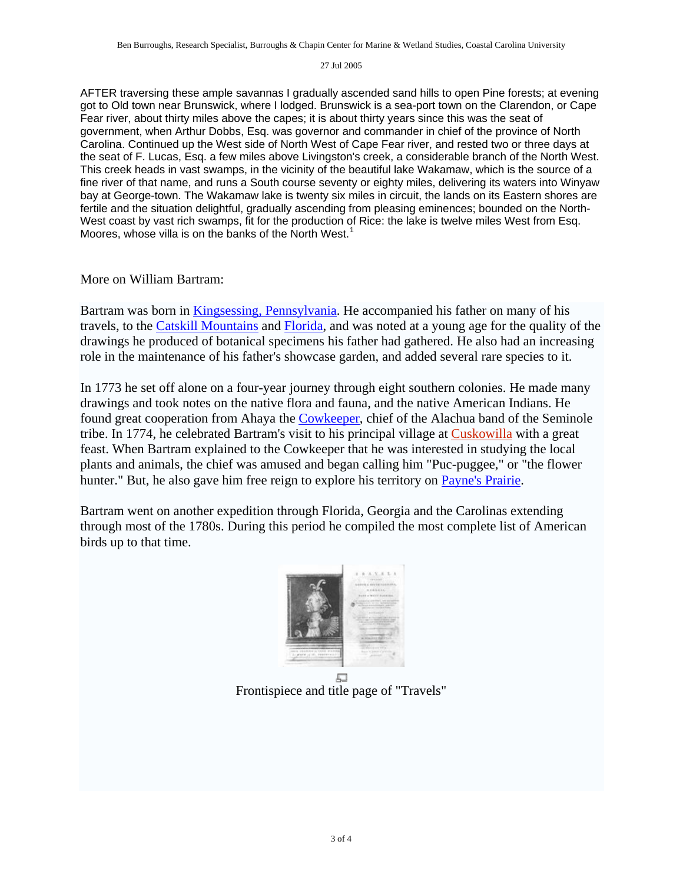AFTER traversing these ample savannas I gradually ascended sand hills to open Pine forests; at evening got to Old town near Brunswick, where I lodged. Brunswick is a sea-port town on the Clarendon, or Cape Fear river, about thirty miles above the capes; it is about thirty years since this was the seat of government, when Arthur Dobbs, Esq. was governor and commander in chief of the province of North Carolina. Continued up the West side of North West of Cape Fear river, and rested two or three days at the seat of F. Lucas, Esq. a few miles above Livingston's creek, a considerable branch of the North West. This creek heads in vast swamps, in the vicinity of the beautiful lake Wakamaw, which is the source of a fine river of that name, and runs a South course seventy or eighty miles, delivering its waters into Winyaw bay at George-town. The Wakamaw lake is twenty six miles in circuit, the lands on its Eastern shores are fertile and the situation delightful, gradually ascending from pleasing eminences; bounded on the North-West coast by vast rich swamps, fit for the production of Rice: the lake is twelve miles West from Esq. Moores, whose villa is on the banks of the North West.<sup>[1](#page-3-0)</sup>

## More on William Bartram:

Bartram was born in [Kingsessing, Pennsylvania.](http://en.wikipedia.org/wiki/Kingsessing%2C_Pennsylvania) He accompanied his father on many of his travels, to the [Catskill Mountains](http://en.wikipedia.org/wiki/Catskill_Mountains) and [Florida,](http://en.wikipedia.org/wiki/Florida) and was noted at a young age for the quality of the drawings he produced of botanical specimens his father had gathered. He also had an increasing role in the maintenance of his father's showcase garden, and added several rare species to it.

In 1773 he set off alone on a four-year journey through eight southern colonies. He made many drawings and took notes on the native flora and fauna, and the native American Indians. He found great cooperation from Ahaya the [Cowkeeper,](http://en.wikipedia.org/wiki/Cowkeeper) chief of the Alachua band of the Seminole tribe. In 1774, he celebrated Bartram's visit to his principal village at [Cuskowilla](http://en.wikipedia.org/w/index.php?title=Cuskowilla&action=edit) with a great feast. When Bartram explained to the Cowkeeper that he was interested in studying the local plants and animals, the chief was amused and began calling him "Puc-puggee," or "the flower hunter." But, he also gave him free reign to explore his territory on [Payne's Prairie.](http://en.wikipedia.org/wiki/Payne%27s_Prairie)

Bartram went on another expedition through Florida, Georgia and the Carolinas extending through most of the 1780s. During this period he compiled the most complete list of American birds up to that time.



Frontispiece and title page of "Travels"